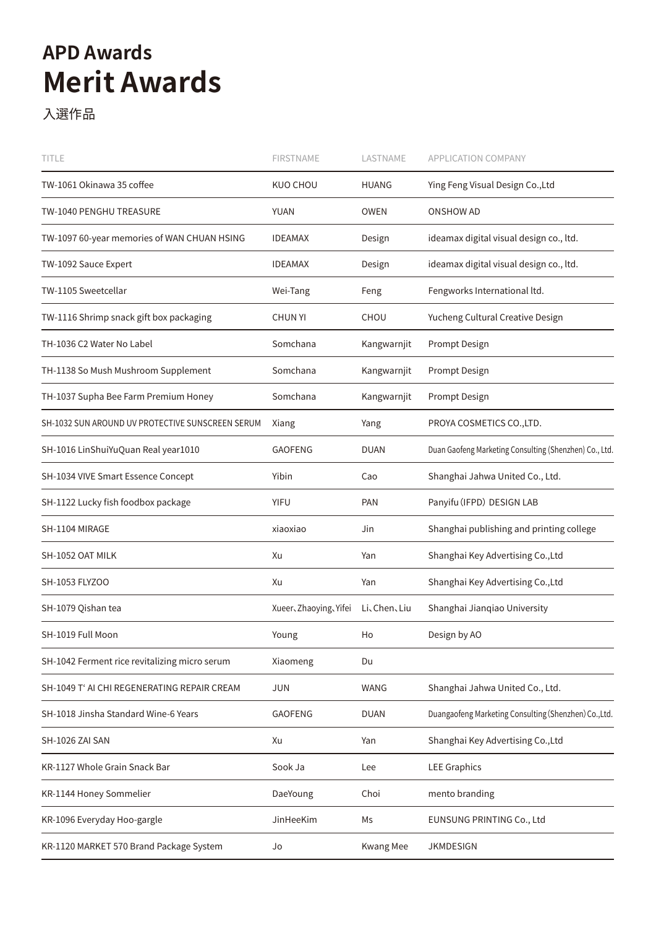## **Merit Awards APD Awards**

入選作品

| title                                            | <b>FIRSTNAME</b>     | LASTNAME         | APPLICATION COMPANY                                    |
|--------------------------------------------------|----------------------|------------------|--------------------------------------------------------|
| TW-1061 Okinawa 35 coffee                        | KUO CHOU             | <b>HUANG</b>     | Ying Feng Visual Design Co., Ltd                       |
| TW-1040 PENGHU TREASURE                          | <b>YUAN</b>          | <b>OWEN</b>      | <b>ONSHOW AD</b>                                       |
| TW-1097 60-year memories of WAN CHUAN HSING      | <b>IDEAMAX</b>       | Design           | ideamax digital visual design co., ltd.                |
| TW-1092 Sauce Expert                             | <b>IDEAMAX</b>       | Design           | ideamax digital visual design co., ltd.                |
| TW-1105 Sweetcellar                              | Wei-Tang             | Feng             | Fengworks International ltd.                           |
| TW-1116 Shrimp snack gift box packaging          | <b>CHUN YI</b>       | <b>CHOU</b>      | Yucheng Cultural Creative Design                       |
| TH-1036 C2 Water No Label                        | Somchana             | Kangwarnjit      | Prompt Design                                          |
| TH-1138 So Mush Mushroom Supplement              | Somchana             | Kangwarnjit      | Prompt Design                                          |
| TH-1037 Supha Bee Farm Premium Honey             | Somchana             | Kangwarnjit      | Prompt Design                                          |
| SH-1032 SUN AROUND UV PROTECTIVE SUNSCREEN SERUM | Xiang                | Yang             | PROYA COSMETICS CO., LTD.                              |
| SH-1016 LinShuiYuQuan Real year1010              | <b>GAOFENG</b>       | <b>DUAN</b>      | Duan Gaofeng Marketing Consulting (Shenzhen) Co., Ltd. |
| SH-1034 VIVE Smart Essence Concept               | Yibin                | Cao              | Shanghai Jahwa United Co., Ltd.                        |
| SH-1122 Lucky fish foodbox package               | <b>YIFU</b>          | <b>PAN</b>       | Panyifu (IFPD) DESIGN LAB                              |
| SH-1104 MIRAGE                                   | xiaoxiao             | Jin              | Shanghai publishing and printing college               |
| SH-1052 OAT MILK                                 | Xu                   | Yan              | Shanghai Key Advertising Co., Ltd                      |
| SH-1053 FLYZOO                                   | Xu                   | Yan              | Shanghai Key Advertising Co., Ltd                      |
| SH-1079 Qishan tea                               | Xueer、Zhaoying、Yifei | Li、Chen、Liu      | Shanghai Jianqiao University                           |
| SH-1019 Full Moon                                | Young                | Ho               | Design by AO                                           |
| SH-1042 Ferment rice revitalizing micro serum    | Xiaomeng             | Du               |                                                        |
| SH-1049 T' AI CHI REGENERATING REPAIR CREAM      | <b>JUN</b>           | WANG             | Shanghai Jahwa United Co., Ltd.                        |
| SH-1018 Jinsha Standard Wine-6 Years             | <b>GAOFENG</b>       | <b>DUAN</b>      | Duangaofeng Marketing Consulting (Shenzhen) Co., Ltd.  |
| SH-1026 ZAI SAN                                  | Xu                   | Yan              | Shanghai Key Advertising Co., Ltd                      |
| KR-1127 Whole Grain Snack Bar                    | Sook Ja              | Lee              | <b>LEE Graphics</b>                                    |
| KR-1144 Honey Sommelier                          | DaeYoung             | Choi             | mento branding                                         |
| KR-1096 Everyday Hoo-gargle                      | JinHeeKim            | Ms               | EUNSUNG PRINTING Co., Ltd                              |
| KR-1120 MARKET 570 Brand Package System          | Jo                   | <b>Kwang Mee</b> | <b>JKMDESIGN</b>                                       |
|                                                  |                      |                  |                                                        |